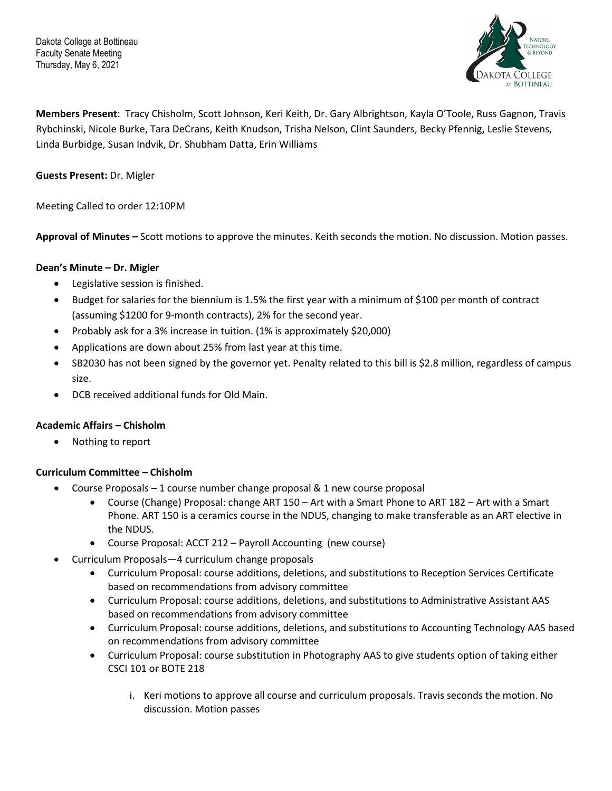

**Members Present**: Tracy Chisholm, Scott Johnson, Keri Keith, Dr. Gary Albrightson, Kayla O'Toole, Russ Gagnon, Travis Rybchinski, Nicole Burke, Tara DeCrans, Keith Knudson, Trisha Nelson, Clint Saunders, Becky Pfennig, Leslie Stevens, Linda Burbidge, Susan Indvik, Dr. Shubham Datta, Erin Williams

**Guests Present:** Dr. Migler

Meeting Called to order 12:10PM

**Approval of Minutes –** Scott motions to approve the minutes. Keith seconds the motion. No discussion. Motion passes.

# **Dean's Minute – Dr. Migler**

- Legislative session is finished.
- Budget for salaries for the biennium is 1.5% the first year with a minimum of \$100 per month of contract (assuming \$1200 for 9-month contracts), 2% for the second year.
- Probably ask for a 3% increase in tuition. (1% is approximately \$20,000)
- Applications are down about 25% from last year at this time.
- SB2030 has not been signed by the governor yet. Penalty related to this bill is \$2.8 million, regardless of campus size.
- DCB received additional funds for Old Main.

#### **Academic Affairs – Chisholm**

• Nothing to report

#### **Curriculum Committee – Chisholm**

- Course Proposals 1 course number change proposal & 1 new course proposal
	- Course (Change) Proposal: change ART 150 Art with a Smart Phone to ART 182 Art with a Smart Phone. ART 150 is a ceramics course in the NDUS, changing to make transferable as an ART elective in the NDUS.
	- Course Proposal: ACCT 212 Payroll Accounting (new course)
- Curriculum Proposals—4 curriculum change proposals
	- Curriculum Proposal: course additions, deletions, and substitutions to Reception Services Certificate based on recommendations from advisory committee
	- Curriculum Proposal: course additions, deletions, and substitutions to Administrative Assistant AAS based on recommendations from advisory committee
	- Curriculum Proposal: course additions, deletions, and substitutions to Accounting Technology AAS based on recommendations from advisory committee
	- Curriculum Proposal: course substitution in Photography AAS to give students option of taking either CSCI 101 or BOTE 218
		- i. Keri motions to approve all course and curriculum proposals. Travis seconds the motion. No discussion. Motion passes